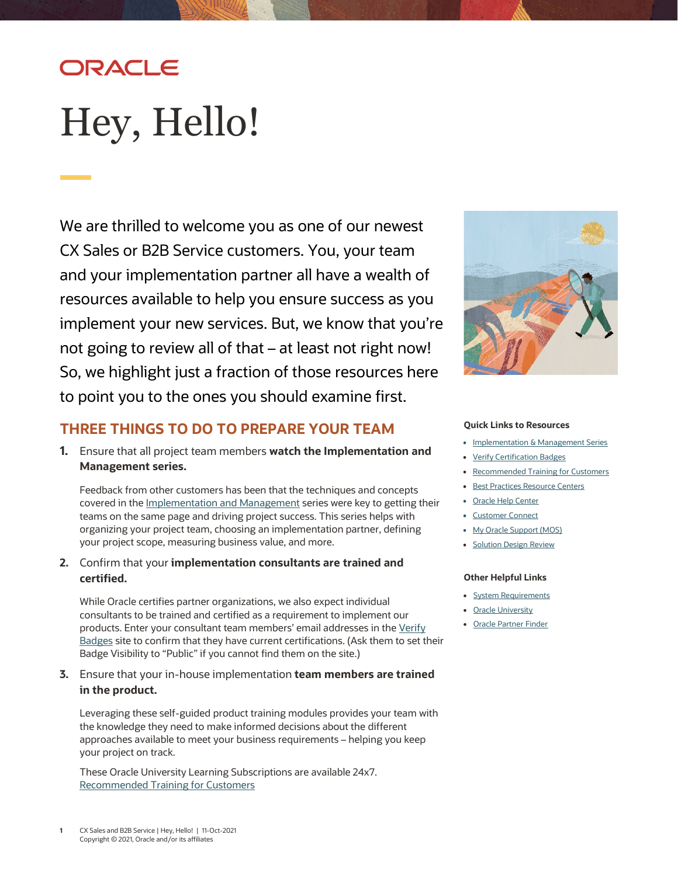# ORACLE

# <span id="page-0-0"></span>Hey, Hello!

We are thrilled to welcome you as one of our newest CX Sales or B2B Service customers. You, your team and your implementation partner all have a wealth of resources available to help you ensure success as you implement your new services. But, we know that you're not going to review all of that – at least not right now! So, we highlight just a fraction of those resources here to point you to the ones you should examine first.



## **THREE THINGS TO DO TO PREPARE YOUR TEAM**

**1.** Ensure that all project team members **watch the Implementation and Management series.** 

Feedback from other customers has been that the techniques and concepts covered in the *Implementation and Management* series were key to getting their teams on the same page and driving project success. This series helps with organizing your project team, choosing an implementation partner, defining your project scope, measuring business value, and more.

**2.** Confirm that your **implementation consultants are trained and certified.**

While Oracle certifies partner organizations, we also expect individual consultants to be trained and certified as a requirement to implement our products. Enter your consultant team members' email addresses in th[e Verify](https://www.youracclaim.com/org/oracle/verify)  [Badges](https://www.youracclaim.com/org/oracle/verify) site to confirm that they have current certifications. (Ask them to set their Badge Visibility to "Public" if you cannot find them on the site.)

**3.** Ensure that your in-house implementation **team members are trained in the product.**

Leveraging these self-guided product training modules provides your team with the knowledge they need to make informed decisions about the different approaches available to meet your business requirements – helping you keep your project on track.

These Oracle University Learning Subscriptions are available 24x7. [Recommended Training for Customers](https://www.oracle.com/a/ocom/docs/recommended-training-and-certification-for-customers.pdf)

#### **Quick Links to Resources**

- Implementation & [Management Series](https://videohub.oracle.com/playlist/dedicated/209848853/1_jkmst6ge)
- [Verify Certification Badges](https://www.youracclaim.com/org/oracle/verify)
- [Recommended Training for Customers](https://www.oracle.com/a/ocom/docs/recommended-training-and-certification-for-customers.pdf)
- [Best Practices Resource Centers](https://www.oracle.com/a/ocom/docs/resource-centers-and-implementation-notes.pdf)
- [Oracle Help Center](https://docs.oracle.com/en/cloud/saas/index.html)
- [Customer Connect](https://community.oracle.com/customerconnect/)
- [My Oracle Support \(MOS\)](https://support.oracle.com/)
- [Solution Design Review](https://www.oracle.com/webfolder/cx-implementation/solution-design-review-datasheet-sales-b2bsvc.pdf)

#### **Other Helpful Links**

- [System Requirements](https://www.oracle.com/system-requirements/)
- [Oracle University](https://education.oracle.com/saas-cx/cx-sales/pFamily_657)
- [Oracle Partner Finder](https://partner-finder.oracle.com/)